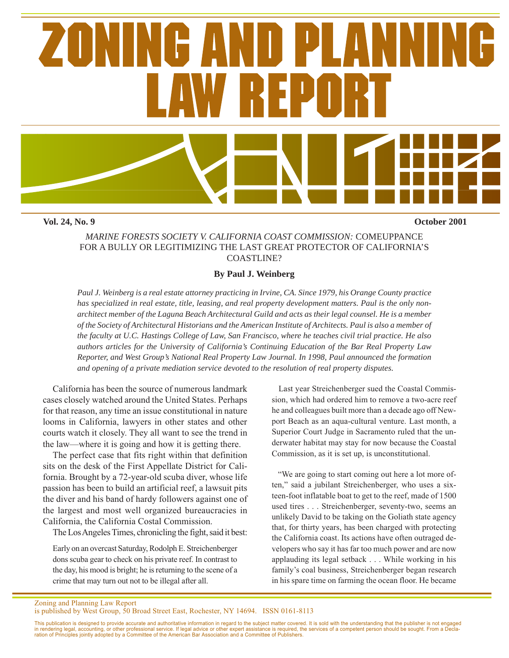

**Vol. 24, No. 9 October 2001**

## *MARINE FORESTS SOCIETY V. CALIFORNIA COAST COMMISSION:* COMEUPPANCE FOR A BULLY OR LEGITIMIZING THE LAST GREAT PROTECTOR OF CALIFORNIA'S COASTLINE?

# **By Paul J. Weinberg**

*Paul J. Weinberg is a real estate attorney practicing in Irvine, CA. Since 1979, his Orange County practice has specialized in real estate, title, leasing, and real property development matters. Paul is the only nonarchitect member of the Laguna Beach Architectural Guild and acts as their legal counsel. He is a member of the Society of Architectural Historians and the American Institute of Architects. Paul is also a member of the faculty at U.C. Hastings College of Law, San Francisco, where he teaches civil trial practice. He also authors articles for the University of California's Continuing Education of the Bar Real Property Law Reporter, and West Group's National Real Property Law Journal. In 1998, Paul announced the formation and opening of a private mediation service devoted to the resolution of real property disputes.*

California has been the source of numerous landmark cases closely watched around the United States. Perhaps for that reason, any time an issue constitutional in nature looms in California, lawyers in other states and other courts watch it closely. They all want to see the trend in the law—where it is going and how it is getting there.

The perfect case that fits right within that definition sits on the desk of the First Appellate District for California. Brought by a 72-year-old scuba diver, whose life passion has been to build an artificial reef, a lawsuit pits the diver and his band of hardy followers against one of the largest and most well organized bureaucracies in California, the California Costal Commission.

The Los Angeles Times, chronicling the fight, said it best:

Early on an overcast Saturday, Rodolph E. Streichenberger dons scuba gear to check on his private reef. In contrast to the day, his mood is bright; he is returning to the scene of a crime that may turn out not to be illegal after all.

 Last year Streichenberger sued the Coastal Commission, which had ordered him to remove a two-acre reef he and colleagues built more than a decade ago off Newport Beach as an aqua-cultural venture. Last month, a Superior Court Judge in Sacramento ruled that the underwater habitat may stay for now because the Coastal Commission, as it is set up, is unconstitutional.

 "We are going to start coming out here a lot more often," said a jubilant Streichenberger, who uses a sixteen-foot inflatable boat to get to the reef, made of 1500 used tires . . . Streichenberger, seventy-two, seems an unlikely David to be taking on the Goliath state agency that, for thirty years, has been charged with protecting the California coast. Its actions have often outraged developers who say it has far too much power and are now applauding its legal setback . . . While working in his family's coal business, Streichenberger began research in his spare time on farming the ocean floor. He became

Zoning and Planning Law Report is published by West Group, 50 Broad Street East, Rochester, NY 14694. ISSN 0161-8113

This publication is designed to provide accurate and authoritative information in regard to the subject matter covered. It is sold with the understanding that the publisher is not engaged<br>in rendering legal, accounting, or ration of Principles jointly adopted by a Committee of the American Bar Association and a Committee of Publishers.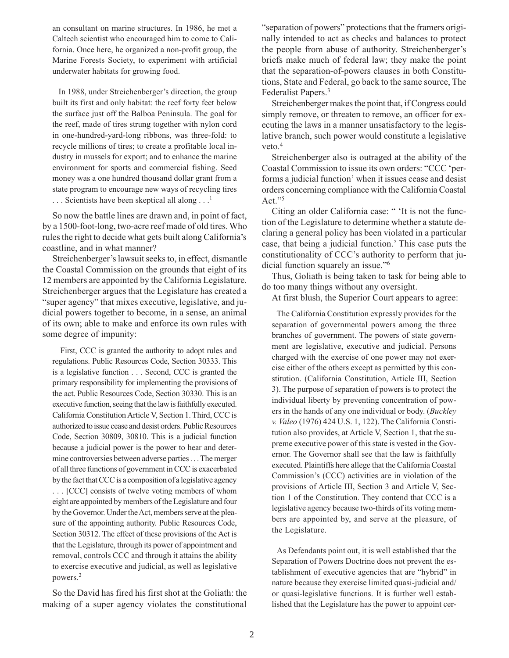an consultant on marine structures. In 1986, he met a Caltech scientist who encouraged him to come to California. Once here, he organized a non-profit group, the Marine Forests Society, to experiment with artificial underwater habitats for growing food.

 In 1988, under Streichenberger's direction, the group built its first and only habitat: the reef forty feet below the surface just off the Balboa Peninsula. The goal for the reef, made of tires strung together with nylon cord in one-hundred-yard-long ribbons, was three-fold: to recycle millions of tires; to create a profitable local industry in mussels for export; and to enhance the marine environment for sports and commercial fishing. Seed money was a one hundred thousand dollar grant from a state program to encourage new ways of recycling tires  $\ldots$  Scientists have been skeptical all along  $\ldots$ <sup>1</sup>

So now the battle lines are drawn and, in point of fact, by a 1500-foot-long, two-acre reef made of old tires. Who rules the right to decide what gets built along California's coastline, and in what manner?

Streichenberger's lawsuit seeks to, in effect, dismantle the Coastal Commission on the grounds that eight of its 12 members are appointed by the California Legislature. Streichenberger argues that the Legislature has created a "super agency" that mixes executive, legislative, and judicial powers together to become, in a sense, an animal of its own; able to make and enforce its own rules with some degree of impunity:

 First, CCC is granted the authority to adopt rules and regulations. Public Resources Code, Section 30333. This is a legislative function . . . Second, CCC is granted the primary responsibility for implementing the provisions of the act. Public Resources Code, Section 30330. This is an executive function, seeing that the law is faithfully executed. California Constitution Article V, Section 1. Third, CCC is authorized to issue cease and desist orders. Public Resources Code, Section 30809, 30810. This is a judicial function because a judicial power is the power to hear and determine controversies between adverse parties . . . The merger of all three functions of government in CCC is exacerbated by the fact that CCC is a composition of a legislative agency . . . [CCC] consists of twelve voting members of whom eight are appointed by members of the Legislature and four by the Governor. Under the Act, members serve at the pleasure of the appointing authority. Public Resources Code, Section 30312. The effect of these provisions of the Act is that the Legislature, through its power of appointment and removal, controls CCC and through it attains the ability to exercise executive and judicial, as well as legislative powers.2

So the David has fired his first shot at the Goliath: the making of a super agency violates the constitutional "separation of powers" protections that the framers originally intended to act as checks and balances to protect the people from abuse of authority. Streichenberger's briefs make much of federal law; they make the point that the separation-of-powers clauses in both Constitutions, State and Federal, go back to the same source, The Federalist Papers.<sup>3</sup>

Streichenberger makes the point that, if Congress could simply remove, or threaten to remove, an officer for executing the laws in a manner unsatisfactory to the legislative branch, such power would constitute a legislative veto.<sup>4</sup>

Streichenberger also is outraged at the ability of the Coastal Commission to issue its own orders: "CCC 'performs a judicial function' when it issues cease and desist orders concerning compliance with the California Coastal Act."5

Citing an older California case: " 'It is not the function of the Legislature to determine whether a statute declaring a general policy has been violated in a particular case, that being a judicial function.' This case puts the constitutionality of CCC's authority to perform that judicial function squarely an issue."6

Thus, Goliath is being taken to task for being able to do too many things without any oversight.

At first blush, the Superior Court appears to agree:

 The California Constitution expressly provides for the separation of governmental powers among the three branches of government. The powers of state government are legislative, executive and judicial. Persons charged with the exercise of one power may not exercise either of the others except as permitted by this constitution. (California Constitution, Article III, Section 3). The purpose of separation of powers is to protect the individual liberty by preventing concentration of powers in the hands of any one individual or body. (*Buckley v. Valeo* (1976) 424 U.S. 1, 122). The California Constitution also provides, at Article V, Section 1, that the supreme executive power of this state is vested in the Governor. The Governor shall see that the law is faithfully executed. Plaintiffs here allege that the California Coastal Commission's (CCC) activities are in violation of the provisions of Article III, Section 3 and Article V, Section 1 of the Constitution. They contend that CCC is a legislative agency because two-thirds of its voting members are appointed by, and serve at the pleasure, of the Legislature.

 As Defendants point out, it is well established that the Separation of Powers Doctrine does not prevent the establishment of executive agencies that are "hybrid" in nature because they exercise limited quasi-judicial and/ or quasi-legislative functions. It is further well established that the Legislature has the power to appoint cer-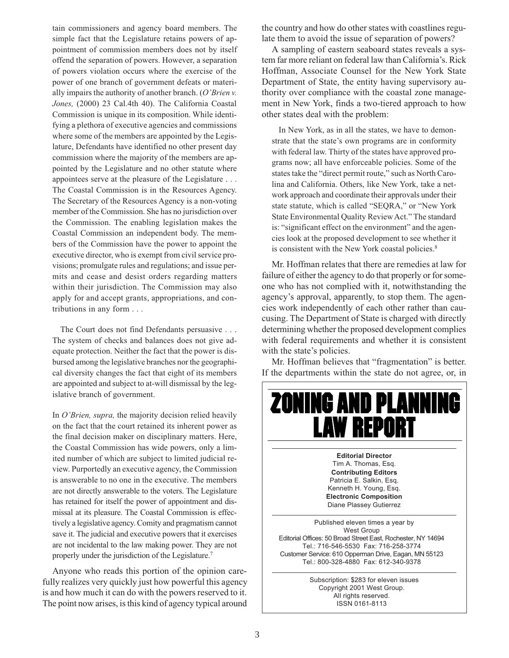tain commissioners and agency board members. The simple fact that the Legislature retains powers of appointment of commission members does not by itself offend the separation of powers. However, a separation of powers violation occurs where the exercise of the power of one branch of government defeats or materially impairs the authority of another branch. (*O'Brien v. Jones,* (2000) 23 Cal.4th 40). The California Coastal Commission is unique in its composition. While identifying a plethora of executive agencies and commissions where some of the members are appointed by the Legislature, Defendants have identified no other present day commission where the majority of the members are appointed by the Legislature and no other statute where appointees serve at the pleasure of the Legislature . . . The Coastal Commission is in the Resources Agency. The Secretary of the Resources Agency is a non-voting member of the Commission. She has no jurisdiction over the Commission. The enabling legislation makes the Coastal Commission an independent body. The members of the Commission have the power to appoint the executive director, who is exempt from civil service provisions; promulgate rules and regulations; and issue permits and cease and desist orders regarding matters within their jurisdiction. The Commission may also apply for and accept grants, appropriations, and contributions in any form . . .

 The Court does not find Defendants persuasive . . . The system of checks and balances does not give adequate protection. Neither the fact that the power is disbursed among the legislative branches nor the geographical diversity changes the fact that eight of its members are appointed and subject to at-will dismissal by the legislative branch of government.

In *O'Brien, supra,* the majority decision relied heavily on the fact that the court retained its inherent power as the final decision maker on disciplinary matters. Here, the Coastal Commission has wide powers, only a limited number of which are subject to limited judicial review. Purportedly an executive agency, the Commission is answerable to no one in the executive. The members are not directly answerable to the voters. The Legislature has retained for itself the power of appointment and dismissal at its pleasure. The Coastal Commission is effectively a legislative agency. Comity and pragmatism cannot save it. The judicial and executive powers that it exercises are not incidental to the law making power. They are not properly under the jurisdiction of the Legislature.<sup>7</sup>

Anyone who reads this portion of the opinion carefully realizes very quickly just how powerful this agency is and how much it can do with the powers reserved to it. The point now arises, is this kind of agency typical around

the country and how do other states with coastlines regulate them to avoid the issue of separation of powers?

A sampling of eastern seaboard states reveals a system far more reliant on federal law than California's. Rick Hoffman, Associate Counsel for the New York State Department of State, the entity having supervisory authority over compliance with the coastal zone management in New York, finds a two-tiered approach to how other states deal with the problem:

 In New York, as in all the states, we have to demonstrate that the state's own programs are in conformity with federal law. Thirty of the states have approved programs now; all have enforceable policies. Some of the states take the "direct permit route," such as North Carolina and California. Others, like New York, take a network approach and coordinate their approvals under their state statute, which is called "SEQRA," or "New York State Environmental Quality Review Act." The standard is: "significant effect on the environment" and the agencies look at the proposed development to see whether it is consistent with the New York coastal policies.<sup>8</sup>

Mr. Hoffman relates that there are remedies at law for failure of either the agency to do that properly or for someone who has not complied with it, notwithstanding the agency's approval, apparently, to stop them. The agencies work independently of each other rather than caucusing. The Department of State is charged with directly determining whether the proposed development complies with federal requirements and whether it is consistent with the state's policies.

Mr. Hoffman believes that "fragmentation" is better. If the departments within the state do not agree, or, in

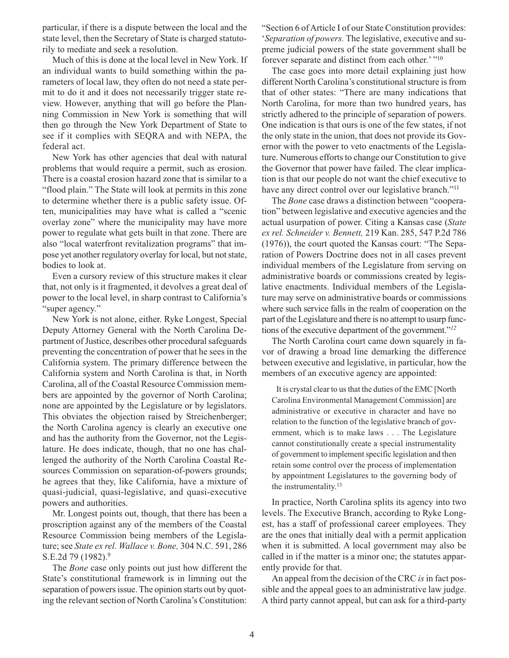particular, if there is a dispute between the local and the state level, then the Secretary of State is charged statutorily to mediate and seek a resolution.

Much of this is done at the local level in New York. If an individual wants to build something within the parameters of local law, they often do not need a state permit to do it and it does not necessarily trigger state review. However, anything that will go before the Planning Commission in New York is something that will then go through the New York Department of State to see if it complies with SEQRA and with NEPA, the federal act.

New York has other agencies that deal with natural problems that would require a permit, such as erosion. There is a coastal erosion hazard zone that is similar to a "flood plain." The State will look at permits in this zone to determine whether there is a public safety issue. Often, municipalities may have what is called a "scenic overlay zone" where the municipality may have more power to regulate what gets built in that zone. There are also "local waterfront revitalization programs" that impose yet another regulatory overlay for local, but not state, bodies to look at.

Even a cursory review of this structure makes it clear that, not only is it fragmented, it devolves a great deal of power to the local level, in sharp contrast to California's "super agency."

New York is not alone, either. Ryke Longest, Special Deputy Attorney General with the North Carolina Department of Justice, describes other procedural safeguards preventing the concentration of power that he sees in the California system. The primary difference between the California system and North Carolina is that, in North Carolina, all of the Coastal Resource Commission members are appointed by the governor of North Carolina; none are appointed by the Legislature or by legislators. This obviates the objection raised by Streichenberger; the North Carolina agency is clearly an executive one and has the authority from the Governor, not the Legislature. He does indicate, though, that no one has challenged the authority of the North Carolina Coastal Resources Commission on separation-of-powers grounds; he agrees that they, like California, have a mixture of quasi-judicial, quasi-legislative, and quasi-executive powers and authorities.

Mr. Longest points out, though, that there has been a proscription against any of the members of the Coastal Resource Commission being members of the Legislature; see *State ex rel. Wallace v. Bone,* 304 N.C. 591, 286 S.E.2d 79 (1982).<sup>9</sup>

The *Bone* case only points out just how different the State's constitutional framework is in limning out the separation of powers issue. The opinion starts out by quoting the relevant section of North Carolina's Constitution: "Section 6 of Article I of our State Constitution provides: '*Separation of powers.* The legislative, executive and supreme judicial powers of the state government shall be forever separate and distinct from each other.' "<sup>10</sup>

The case goes into more detail explaining just how different North Carolina's constitutional structure is from that of other states: "There are many indications that North Carolina, for more than two hundred years, has strictly adhered to the principle of separation of powers. One indication is that ours is one of the few states, if not the only state in the union, that does not provide its Governor with the power to veto enactments of the Legislature. Numerous efforts to change our Constitution to give the Governor that power have failed. The clear implication is that our people do not want the chief executive to have any direct control over our legislative branch."<sup>11</sup>

The *Bone* case draws a distinction between "cooperation" between legislative and executive agencies and the actual usurpation of power. Citing a Kansas case (*State ex rel. Schneider v. Bennett,* 219 Kan. 285, 547 P.2d 786 (1976)), the court quoted the Kansas court: "The Separation of Powers Doctrine does not in all cases prevent individual members of the Legislature from serving on administrative boards or commissions created by legislative enactments. Individual members of the Legislature may serve on administrative boards or commissions where such service falls in the realm of cooperation on the part of the Legislature and there is no attempt to usurp functions of the executive department of the government."*<sup>12</sup>*

The North Carolina court came down squarely in favor of drawing a broad line demarking the difference between executive and legislative, in particular, how the members of an executive agency are appointed:

 It is crystal clear to us that the duties of the EMC [North Carolina Environmental Management Commission] are administrative or executive in character and have no relation to the function of the legislative branch of government, which is to make laws . . . The Legislature cannot constitutionally create a special instrumentality of government to implement specific legislation and then retain some control over the process of implementation by appointment Legislatures to the governing body of the instrumentality.13

In practice, North Carolina splits its agency into two levels. The Executive Branch, according to Ryke Longest, has a staff of professional career employees. They are the ones that initially deal with a permit application when it is submitted. A local government may also be called in if the matter is a minor one; the statutes apparently provide for that.

An appeal from the decision of the CRC *is* in fact possible and the appeal goes to an administrative law judge. A third party cannot appeal, but can ask for a third-party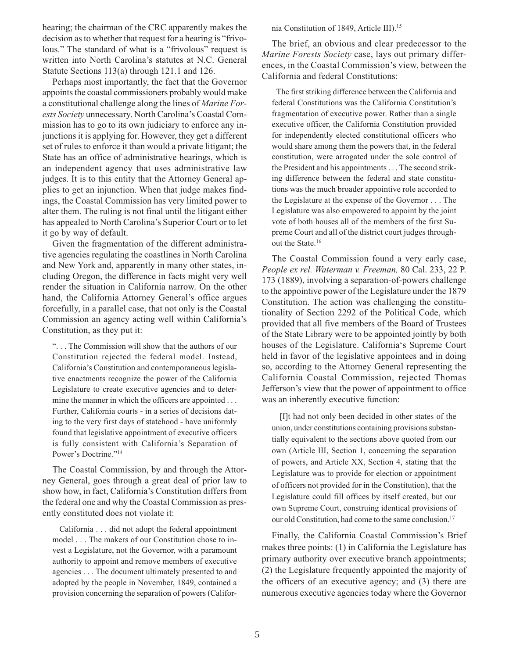hearing; the chairman of the CRC apparently makes the decision as to whether that request for a hearing is "frivolous." The standard of what is a "frivolous" request is written into North Carolina's statutes at N.C. General Statute Sections 113(a) through 121.1 and 126.

Perhaps most importantly, the fact that the Governor appoints the coastal commissioners probably would make a constitutional challenge along the lines of *Marine Forests Society* unnecessary. North Carolina's Coastal Commission has to go to its own judiciary to enforce any injunctions it is applying for. However, they get a different set of rules to enforce it than would a private litigant; the State has an office of administrative hearings, which is an independent agency that uses administrative law judges. It is to this entity that the Attorney General applies to get an injunction. When that judge makes findings, the Coastal Commission has very limited power to alter them. The ruling is not final until the litigant either has appealed to North Carolina's Superior Court or to let it go by way of default.

Given the fragmentation of the different administrative agencies regulating the coastlines in North Carolina and New York and, apparently in many other states, including Oregon, the difference in facts might very well render the situation in California narrow. On the other hand, the California Attorney General's office argues forcefully, in a parallel case, that not only is the Coastal Commission an agency acting well within California's Constitution, as they put it:

". . . The Commission will show that the authors of our Constitution rejected the federal model. Instead, California's Constitution and contemporaneous legislative enactments recognize the power of the California Legislature to create executive agencies and to determine the manner in which the officers are appointed . . . Further, California courts - in a series of decisions dating to the very first days of statehood - have uniformly found that legislative appointment of executive officers is fully consistent with California's Separation of Power's Doctrine."14

The Coastal Commission, by and through the Attorney General, goes through a great deal of prior law to show how, in fact, California's Constitution differs from the federal one and why the Coastal Commission as presently constituted does not violate it:

 California . . . did not adopt the federal appointment model . . . The makers of our Constitution chose to invest a Legislature, not the Governor, with a paramount authority to appoint and remove members of executive agencies . . . The document ultimately presented to and adopted by the people in November, 1849, contained a provision concerning the separation of powers (California Constitution of 1849, Article III).15

The brief, an obvious and clear predecessor to the *Marine Forests Society* case, lays out primary differences, in the Coastal Commission's view, between the California and federal Constitutions:

 The first striking difference between the California and federal Constitutions was the California Constitution's fragmentation of executive power. Rather than a single executive officer, the California Constitution provided for independently elected constitutional officers who would share among them the powers that, in the federal constitution, were arrogated under the sole control of the President and his appointments . . . The second striking difference between the federal and state constitutions was the much broader appointive role accorded to the Legislature at the expense of the Governor . . . The Legislature was also empowered to appoint by the joint vote of both houses all of the members of the first Supreme Court and all of the district court judges throughout the State.16

The Coastal Commission found a very early case, *People ex rel. Waterman v. Freeman,* 80 Cal. 233, 22 P. 173 (1889), involving a separation-of-powers challenge to the appointive power of the Legislature under the 1879 Constitution. The action was challenging the constitutionality of Section 2292 of the Political Code, which provided that all five members of the Board of Trustees of the State Library were to be appointed jointly by both houses of the Legislature. California's Supreme Court held in favor of the legislative appointees and in doing so, according to the Attorney General representing the California Coastal Commission, rejected Thomas Jefferson's view that the power of appointment to office was an inherently executive function:

 [I]t had not only been decided in other states of the union, under constitutions containing provisions substantially equivalent to the sections above quoted from our own (Article III, Section 1, concerning the separation of powers, and Article XX, Section 4, stating that the Legislature was to provide for election or appointment of officers not provided for in the Constitution), that the Legislature could fill offices by itself created, but our own Supreme Court, construing identical provisions of our old Constitution, had come to the same conclusion.17

Finally, the California Coastal Commission's Brief makes three points: (1) in California the Legislature has primary authority over executive branch appointments; (2) the Legislature frequently appointed the majority of the officers of an executive agency; and (3) there are numerous executive agencies today where the Governor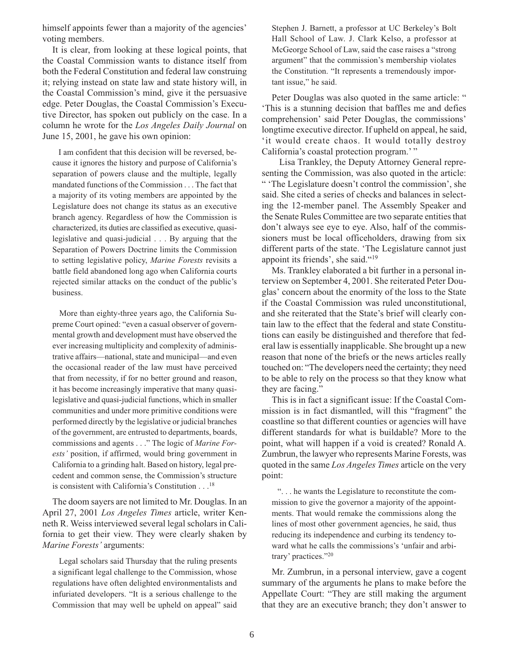himself appoints fewer than a majority of the agencies' voting members.

It is clear, from looking at these logical points, that the Coastal Commission wants to distance itself from both the Federal Constitution and federal law construing it; relying instead on state law and state history will, in the Coastal Commission's mind, give it the persuasive edge. Peter Douglas, the Coastal Commission's Executive Director, has spoken out publicly on the case. In a column he wrote for the *Los Angeles Daily Journal* on June 15, 2001, he gave his own opinion:

 I am confident that this decision will be reversed, because it ignores the history and purpose of California's separation of powers clause and the multiple, legally mandated functions of the Commission . . . The fact that a majority of its voting members are appointed by the Legislature does not change its status as an executive branch agency. Regardless of how the Commission is characterized, its duties are classified as executive, quasilegislative and quasi-judicial . . . By arguing that the Separation of Powers Doctrine limits the Commission to setting legislative policy, *Marine Forests* revisits a battle field abandoned long ago when California courts rejected similar attacks on the conduct of the public's business.

 More than eighty-three years ago, the California Supreme Court opined: "even a casual observer of governmental growth and development must have observed the ever increasing multiplicity and complexity of administrative affairs—national, state and municipal—and even the occasional reader of the law must have perceived that from necessity, if for no better ground and reason, it has become increasingly imperative that many quasilegislative and quasi-judicial functions, which in smaller communities and under more primitive conditions were performed directly by the legislative or judicial branches of the government, are entrusted to departments, boards, commissions and agents . . ." The logic of *Marine Forests'* position, if affirmed, would bring government in California to a grinding halt. Based on history, legal precedent and common sense, the Commission's structure is consistent with California's Constitution . . .18

The doom sayers are not limited to Mr. Douglas. In an April 27, 2001 *Los Angeles Times* article, writer Kenneth R. Weiss interviewed several legal scholars in California to get their view. They were clearly shaken by *Marine Forests'* arguments:

 Legal scholars said Thursday that the ruling presents a significant legal challenge to the Commission, whose regulations have often delighted environmentalists and infuriated developers. "It is a serious challenge to the Commission that may well be upheld on appeal" said

Stephen J. Barnett, a professor at UC Berkeley's Bolt Hall School of Law. J. Clark Kelso, a professor at McGeorge School of Law, said the case raises a "strong argument" that the commission's membership violates the Constitution. "It represents a tremendously important issue," he said.

Peter Douglas was also quoted in the same article: " 'This is a stunning decision that baffles me and defies comprehension' said Peter Douglas, the commissions' longtime executive director. If upheld on appeal, he said, 'it would create chaos. It would totally destroy California's coastal protection program.'"

 Lisa Trankley, the Deputy Attorney General representing the Commission, was also quoted in the article: " 'The Legislature doesn't control the commission', she said. She cited a series of checks and balances in selecting the 12-member panel. The Assembly Speaker and the Senate Rules Committee are two separate entities that don't always see eye to eye. Also, half of the commissioners must be local officeholders, drawing from six different parts of the state. 'The Legislature cannot just appoint its friends', she said."19

Ms. Trankley elaborated a bit further in a personal interview on September 4, 2001. She reiterated Peter Douglas' concern about the enormity of the loss to the State if the Coastal Commission was ruled unconstitutional, and she reiterated that the State's brief will clearly contain law to the effect that the federal and state Constitutions can easily be distinguished and therefore that federal law is essentially inapplicable. She brought up a new reason that none of the briefs or the news articles really touched on: "The developers need the certainty; they need to be able to rely on the process so that they know what they are facing."

This is in fact a significant issue: If the Coastal Commission is in fact dismantled, will this "fragment" the coastline so that different counties or agencies will have different standards for what is buildable? More to the point, what will happen if a void is created? Ronald A. Zumbrun, the lawyer who represents Marine Forests, was quoted in the same *Los Angeles Times* article on the very point:

 ". . . he wants the Legislature to reconstitute the commission to give the governor a majority of the appointments. That would remake the commissions along the lines of most other government agencies, he said, thus reducing its independence and curbing its tendency toward what he calls the commissions's 'unfair and arbitrary' practices."20

Mr. Zumbrun, in a personal interview, gave a cogent summary of the arguments he plans to make before the Appellate Court: "They are still making the argument that they are an executive branch; they don't answer to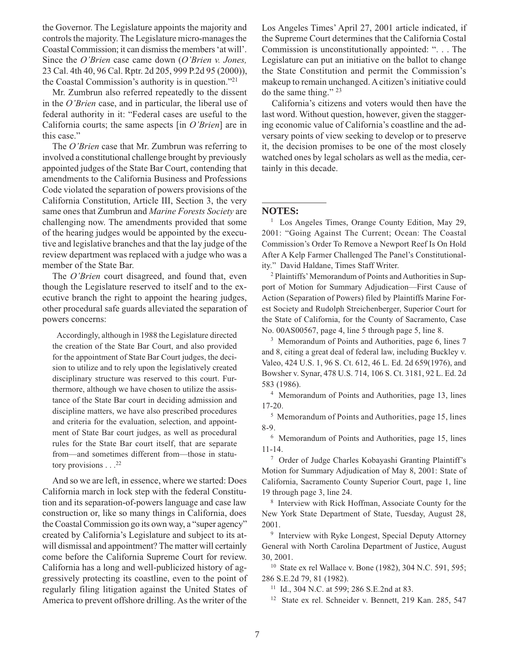the Governor. The Legislature appoints the majority and controls the majority. The Legislature micro-manages the Coastal Commission; it can dismiss the members 'at will'. Since the *O'Brien* case came down (*O'Brien v. Jones,* 23 Cal. 4th 40, 96 Cal. Rptr. 2d 205, 999 P.2d 95 (2000)), the Coastal Commission's authority is in question."21

Mr. Zumbrun also referred repeatedly to the dissent in the *O'Brien* case, and in particular, the liberal use of federal authority in it: "Federal cases are useful to the California courts; the same aspects [in *O'Brien*] are in this case."

The *O'Brien* case that Mr. Zumbrun was referring to involved a constitutional challenge brought by previously appointed judges of the State Bar Court, contending that amendments to the California Business and Professions Code violated the separation of powers provisions of the California Constitution, Article III, Section 3, the very same ones that Zumbrun and *Marine Forests Society* are challenging now. The amendments provided that some of the hearing judges would be appointed by the executive and legislative branches and that the lay judge of the review department was replaced with a judge who was a member of the State Bar.

The *O'Brien* court disagreed, and found that, even though the Legislature reserved to itself and to the executive branch the right to appoint the hearing judges, other procedural safe guards alleviated the separation of powers concerns:

 Accordingly, although in 1988 the Legislature directed the creation of the State Bar Court, and also provided for the appointment of State Bar Court judges, the decision to utilize and to rely upon the legislatively created disciplinary structure was reserved to this court. Furthermore, although we have chosen to utilize the assistance of the State Bar court in deciding admission and discipline matters, we have also prescribed procedures and criteria for the evaluation, selection, and appointment of State Bar court judges, as well as procedural rules for the State Bar court itself, that are separate from—and sometimes different from—those in statutory provisions  $\ldots$ <sup>22</sup>

And so we are left, in essence, where we started: Does California march in lock step with the federal Constitution and its separation-of-powers language and case law construction or, like so many things in California, does the Coastal Commission go its own way, a "super agency" created by California's Legislature and subject to its atwill dismissal and appointment? The matter will certainly come before the California Supreme Court for review. California has a long and well-publicized history of aggressively protecting its coastline, even to the point of regularly filing litigation against the United States of America to prevent offshore drilling. As the writer of the

Los Angeles Times' April 27, 2001 article indicated, if the Supreme Court determines that the California Costal Commission is unconstitutionally appointed: ". . . The Legislature can put an initiative on the ballot to change the State Constitution and permit the Commission's makeup to remain unchanged. A citizen's initiative could do the same thing." 23

California's citizens and voters would then have the last word. Without question, however, given the staggering economic value of California's coastline and the adversary points of view seeking to develop or to preserve it, the decision promises to be one of the most closely watched ones by legal scholars as well as the media, certainly in this decade.

#### **NOTES:**

<sup>1</sup> Los Angeles Times, Orange County Edition, May 29, 2001: "Going Against The Current; Ocean: The Coastal Commission's Order To Remove a Newport Reef Is On Hold After A Kelp Farmer Challenged The Panel's Constitutionality." David Haldane, Times Staff Writer.

2 Plaintiffs' Memorandum of Points and Authorities in Support of Motion for Summary Adjudication—First Cause of Action (Separation of Powers) filed by Plaintiffs Marine Forest Society and Rudolph Streichenberger, Superior Court for the State of California, for the County of Sacramento, Case No. 00AS00567, page 4, line 5 through page 5, line 8.

<sup>3</sup> Memorandum of Points and Authorities, page 6, lines 7 and 8, citing a great deal of federal law, including Buckley v. Valeo, 424 U.S. 1, 96 S. Ct. 612, 46 L. Ed. 2d 659(1976), and Bowsher v. Synar, 478 U.S. 714, 106 S. Ct. 3181, 92 L. Ed. 2d 583 (1986).

4 Memorandum of Points and Authorities, page 13, lines 17-20.

5 Memorandum of Points and Authorities, page 15, lines 8-9.

6 Memorandum of Points and Authorities, page 15, lines 11-14.

7 Order of Judge Charles Kobayashi Granting Plaintiff's Motion for Summary Adjudication of May 8, 2001: State of California, Sacramento County Superior Court, page 1, line 19 through page 3, line 24.

8 Interview with Rick Hoffman, Associate County for the New York State Department of State, Tuesday, August 28, 2001.

<sup>9</sup> Interview with Ryke Longest, Special Deputy Attorney General with North Carolina Department of Justice, August 30, 2001.

10 State ex rel Wallace v. Bone (1982), 304 N.C. 591, 595; 286 S.E.2d 79, 81 (1982).

11 Id., 304 N.C. at 599; 286 S.E.2nd at 83.

12 State ex rel. Schneider v. Bennett, 219 Kan. 285, 547